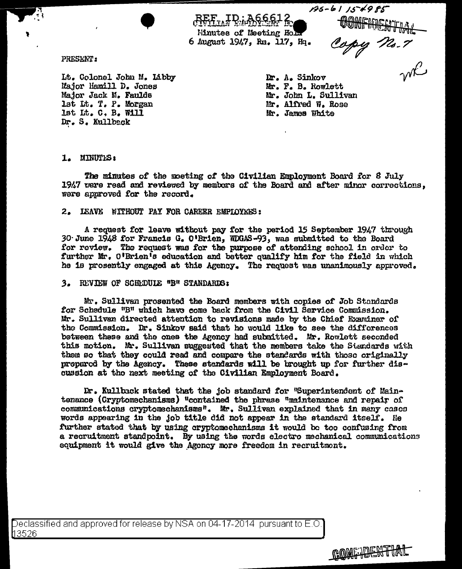$135 - 6115 + 985$ 

Hinutes of Meeting Hold 6 August 1947, Rm. 117, Hq.

PRESENT:

It. Colonel John M. Libby Major Hamill D. Jones Major Jack M. Faulds lst Lt. T. P. Morgan lst Lt. C. B. Will Dr. S. Kullback

-61 15 -.<br>CONFINENTIAL<br>Copy 72.7<br>WK

Dr. A. Sinkov Mr. F. B. Rowlett Mr. John L. Sullivan Mr. Alfred W. Rose Mr. James White

1. MINUTES:

The minutes of the moeting of the Civilian Employment Board for 8 July 1947 vere read and reviewed by membars of the Board and after minor corrections. were approved for the record.

## 2. IEAVE WITHOUT PAY FOR CAREER EMPLOYEES:

A request for leave without pay for the period 15 September 1947 through 30 June 1948 for Francis G. O'Brien, WDGAS-93, was submitted to the Board for review. The request was for the purpose of attending school in order to further Mr. O'Brien's education and better qualify him for the field in which he is prosently engaged at this Agency. The request was unanimously approved.

## 3. REVIEW OF SCHEDULE "B" STANDARDS:

Mr. Sullivan prosented the Board members with copies of Job Standards for Schedule "B" which have come back from the Civil Service Commission. Mr. Sullivan directed attention to revisions made by the Chief Examiner of the Commission. Dr. Sinkov said that ho would like to see the difforences between these and the ones the Agency had submitted. Mr. Rowlett seconded this motion. Mr. Sullivan suggested that the members take the Standards with them so that they could read and compare the standards with those originally propared by the Agency. These standards will be brought up for further discussion at the next meeting of the Civilian Employment Board.

Dr. Kullback stated that the job standard for "Superintendent of Maintenance (Cryptomechanisms) "contained the phrase "maintenance and repair of communications cryptomechanisms". Mr. Sullivan explained that in many cases words appearing in the job title did not appear in the standard itself. He further stated that by using cryptomechanisms it would be too confusing from a recruitment standpoint. By using the words electro mechanical communications equipment it would give the Agency more freedom in recruitment.

Declassified and approved for release by NSA on 04-17-2014  $\,$  pursuant to E.O. 【13526